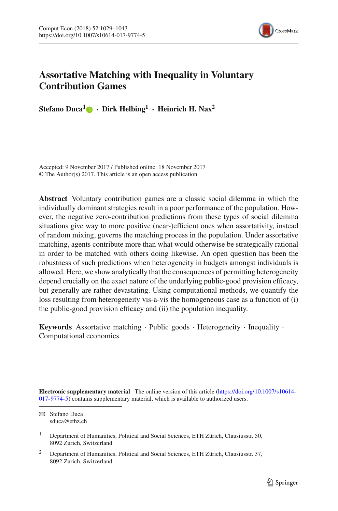

# **Assortative Matching with Inequality in Voluntary Contribution Games**

**Stefano Duca<sup>[1](http://orcid.org/0000-0002-6983-5503)</sup> • <b>Dirk Helbing**<sup>1</sup> • **Heinrich H. Nax**<sup>2</sup>

Accepted: 9 November 2017 / Published online: 18 November 2017 © The Author(s) 2017. This article is an open access publication

**Abstract** Voluntary contribution games are a classic social dilemma in which the individually dominant strategies result in a poor performance of the population. However, the negative zero-contribution predictions from these types of social dilemma situations give way to more positive (near-)efficient ones when assortativity, instead of random mixing, governs the matching process in the population. Under assortative matching, agents contribute more than what would otherwise be strategically rational in order to be matched with others doing likewise. An open question has been the robustness of such predictions when heterogeneity in budgets amongst individuals is allowed. Here, we show analytically that the consequences of permitting heterogeneity depend crucially on the exact nature of the underlying public-good provision efficacy, but generally are rather devastating. Using computational methods, we quantify the loss resulting from heterogeneity vis-a-vis the homogeneous case as a function of (i) the public-good provision efficacy and (ii) the population inequality.

**Keywords** Assortative matching · Public goods · Heterogeneity · Inequality · Computational economics

**Electronic supplementary material** The online version of this article [\(https://doi.org/10.1007/s10614-](https://doi.org/10.1007/s10614-017-9774-5) [017-9774-5\)](https://doi.org/10.1007/s10614-017-9774-5) contains supplementary material, which is available to authorized users.

 $\boxtimes$  Stefano Duca sduca@ethz.ch

<sup>&</sup>lt;sup>1</sup> Department of Humanities, Political and Social Sciences, ETH Zürich, Clausiusstr. 50, 8092 Zurich, Switzerland

<sup>&</sup>lt;sup>2</sup> Department of Humanities, Political and Social Sciences, ETH Zürich, Clausiusstr. 37, 8092 Zurich, Switzerland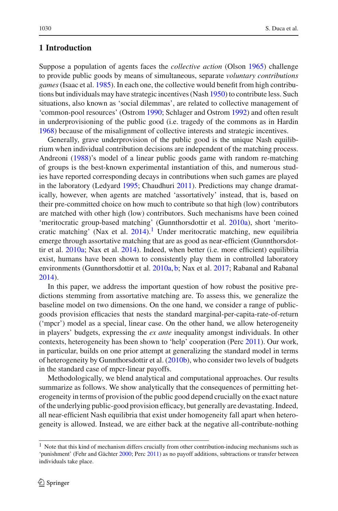## **1 Introduction**

Suppose a population of agents faces the *collective action* (Olso[n](#page-14-0) [1965](#page-14-0)) challenge to provide public goods by means of simultaneous, separate *voluntary contributions games* (Isaac et al[.](#page-14-1) [1985](#page-14-1)). In each one, the collective would benefit from high contributions but individuals may have strategic incentives (Nas[h](#page-14-2) [1950\)](#page-14-2) to contribute less. Such situations, also known as 'social dilemmas', are related to collective management of 'common-pool resources' (Ostro[m](#page-14-3) [1990;](#page-14-3) Schlager and Ostro[m](#page-14-4) [1992](#page-14-4)) and often result in underprovisioning of the public good (i.e. tragedy of the commons as in Hardi[n](#page-13-0) [1968\)](#page-13-0) because of the misalignment of collective interests and strategic incentives.

Generally, grave underprovision of the public good is the unique Nash equilibrium when individual contribution decisions are independent of the matching process. Andreon[i](#page-13-1) [\(1988](#page-13-1))'s model of a linear public goods game with random re-matching of groups is the best-known experimental instantiation of this, and numerous studies have reported corresponding decays in contributions when such games are played in the laboratory (Ledyar[d](#page-14-5) [1995](#page-14-5); Chaudhur[i](#page-13-2) [2011\)](#page-13-2). Predictions may change dramatically, however, when agents are matched 'assortatively' instead, that is, based on their pre-committed choice on how much to contribute so that high (low) contributors are matched with other high (low) contributors. Such mechanisms have been coined 'meritocratic group-based matching' (Gunnthorsdottir et al[.](#page-13-3) [2010a](#page-13-3)), short 'merito-cratic matching' (Nax et al[.](#page-14-6)  $2014$ ).<sup>1</sup> Under meritocratic matching, new equilibria emerge through assortative matching that are as good as near-efficient (Gunnthorsdottir et al[.](#page-13-3) [2010a;](#page-13-3) Nax et al[.](#page-14-6) [2014\)](#page-14-6). Indeed, when better (i.e. more efficient) equilibria exist, humans have been shown to consistently play them in controlled laboratory environments (Gunnthorsdottir et al[.](#page-13-3) [2010a,](#page-13-3) [b;](#page-13-4) Nax et al[.](#page-14-7) [2017;](#page-14-7) Rabanal and Rabana[l](#page-14-8) [2014\)](#page-14-8).

In this paper, we address the important question of how robust the positive predictions stemming from assortative matching are. To assess this, we generalize the baseline model on two dimensions. On the one hand, we consider a range of publicgoods provision efficacies that nests the standard marginal-per-capita-rate-of-return ('mpcr') model as a special, linear case. On the other hand, we allow heterogeneity in players' budgets, expressing the *ex ante* inequality amongst individuals. In other contexts, heterogeneity has been shown to 'help' cooperation (Per[c](#page-14-9) [2011](#page-14-9)). Our work, in particular, builds on one prior attempt at generalizing the standard model in terms of heterogeneity by Gunnthorsdottir et al[.](#page-13-4) [\(2010b](#page-13-4)), who consider two levels of budgets in the standard case of mpcr-linear payoffs.

Methodologically, we blend analytical and computational approaches. Our results summarize as follows. We show analytically that the consequences of permitting heterogeneity in terms of provision of the public good depend crucially on the exact nature of the underlying public-good provision efficacy, but generally are devastating. Indeed, all near-efficient Nash equilibria that exist under homogeneity fall apart when heterogeneity is allowed. Instead, we are either back at the negative all-contribute-nothing

<span id="page-1-0"></span> $1$  Note that this kind of mechanism differs crucially from other contribution-inducing mechanisms such as 'punishment' (Fehr and Gächte[r](#page-13-5) [2000](#page-13-5); Per[c](#page-14-9) [2011](#page-14-9)) as no payoff additions, subtractions or transfer between individuals take place.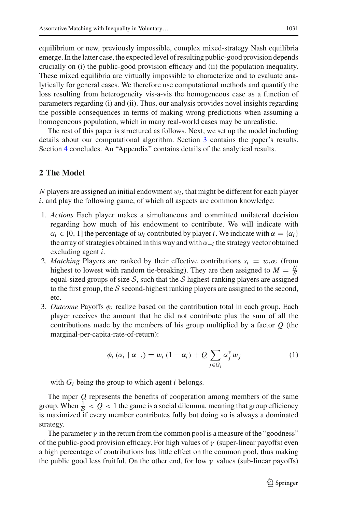equilibrium or new, previously impossible, complex mixed-strategy Nash equilibria emerge. In the latter case, the expected level of resulting public-good provision depends crucially on (i) the public-good provision efficacy and (ii) the population inequality. These mixed equilibria are virtually impossible to characterize and to evaluate analytically for general cases. We therefore use computational methods and quantify the loss resulting from heterogeneity vis-a-vis the homogeneous case as a function of parameters regarding (i) and (ii). Thus, our analysis provides novel insights regarding the possible consequences in terms of making wrong predictions when assuming a homogeneous population, which in many real-world cases may be unrealistic.

The rest of this paper is structured as follows. Next, we set up the model including details about our computational algorithm. Section [3](#page-3-0) contains the paper's results. Section [4](#page-7-0) concludes. An "Appendix" contains details of the analytical results.

# **2 The Model**

*N* players are assigned an initial endowment  $w_i$ , that might be different for each player *i*, and play the following game, of which all aspects are common knowledge:

- 1. *Actions* Each player makes a simultaneous and committed unilateral decision regarding how much of his endowment to contribute. We will indicate with  $\alpha_i \in [0, 1]$  the percentage of  $w_i$  contributed by player *i*. We indicate with  $\alpha = {\alpha_i}$ the array of strategies obtained in this way and with  $\alpha_{-i}$  the strategy vector obtained excluding agent *i*.
- 2. *Matching* Players are ranked by their effective contributions  $s_i = w_i \alpha_i$  (from highest to lowest with random tie-breaking). They are then assigned to  $M = \frac{N}{5}$ equal-sized groups of size  $S$ , such that the  $S$  highest-ranking players are assigned to the first group, the *S* second-highest ranking players are assigned to the second, etc.
- 3. *Outcome* Payoffs φ*<sup>i</sup>* realize based on the contribution total in each group. Each player receives the amount that he did not contribute plus the sum of all the contributions made by the members of his group multiplied by a factor *Q* (the marginal-per-capita-rate-of-return):

$$
\phi_i(\alpha_i \mid \alpha_{-i}) = w_i (1 - \alpha_i) + Q \sum_{j \in G_i} \alpha_j^{\gamma} w_j \tag{1}
$$

with  $G_i$  being the group to which agent  $i$  belongs.

The mpcr *Q* represents the benefits of cooperation among members of the same group. When  $\frac{1}{s} < Q < 1$  the game is a social dilemma, meaning that group efficiency is maximized if every member contributes fully but doing so is always a dominated strategy.

The parameter  $\gamma$  in the return from the common pool is a measure of the "goodness" of the public-good provision efficacy. For high values of  $\gamma$  (super-linear payoffs) even a high percentage of contributions has little effect on the common pool, thus making the public good less fruitful. On the other end, for low  $\gamma$  values (sub-linear payoffs)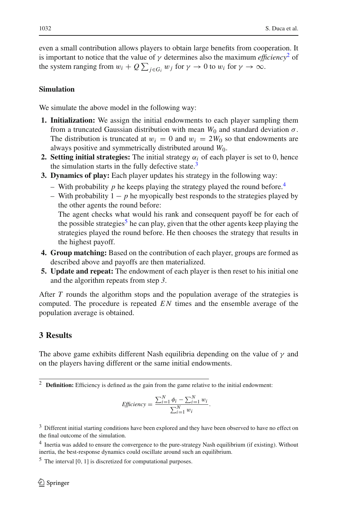even a small contribution allows players to obtain large benefits from cooperation. It is important to notice that the value of  $\gamma$  determines also the maximum *efficiency*<sup>[2](#page-3-1)</sup> of the system ranging from  $w_i + Q \sum_{j \in G_i} w_j$  for  $\gamma \to 0$  to  $w_i$  for  $\gamma \to \infty$ .

## **Simulation**

We simulate the above model in the following way:

- **1. Initialization:** We assign the initial endowments to each player sampling them from a truncated Gaussian distribution with mean  $W_0$  and standard deviation  $\sigma$ . The distribution is truncated at  $w_i = 0$  and  $w_i = 2W_0$  so that endowments are always positive and symmetrically distributed around *W*0.
- **2. Setting initial strategies:** The initial strategy  $\alpha_i$  of each player is set to 0, hence the simulation starts in the fully defective state.<sup>[3](#page-3-2)</sup>
- **3. Dynamics of play:** Each player updates his strategy in the following way:
	- With probability p he keeps playing the strategy played the round before.<sup>4</sup>
	- With probability 1 − *p* he myopically best responds to the strategies played by the other agents the round before:

The agent checks what would his rank and consequent payoff be for each of the possible strategies<sup>[5](#page-3-4)</sup> he can play, given that the other agents keep playing the strategies played the round before. He then chooses the strategy that results in the highest payoff.

- **4. Group matching:** Based on the contribution of each player, groups are formed as described above and payoffs are then materialized.
- **5. Update and repeat:** The endowment of each player is then reset to his initial one and the algorithm repeats from step *3*.

After *T* rounds the algorithm stops and the population average of the strategies is computed. The procedure is repeated *E N* times and the ensemble average of the population average is obtained.

# <span id="page-3-0"></span>**3 Results**

The above game exhibits different Nash equilibria depending on the value of  $\gamma$  and on the players having different or the same initial endowments.

<span id="page-3-1"></span><sup>2</sup> **Definition:** Efficiency is defined as the gain from the game relative to the initial endowment:

$$
Efficiency = \frac{\sum_{i=1}^{N} \phi_i - \sum_{i=1}^{N} w_i}{\sum_{i=1}^{N} w_i}.
$$

<span id="page-3-2"></span><sup>&</sup>lt;sup>3</sup> Different initial starting conditions have been explored and they have been observed to have no effect on the final outcome of the simulation.

<span id="page-3-3"></span><sup>4</sup> Inertia was added to ensure the convergence to the pure-strategy Nash equilibrium (if existing). Without inertia, the best-response dynamics could oscillate around such an equilibrium.

<span id="page-3-4"></span> $<sup>5</sup>$  The interval [0, 1] is discretized for computational purposes.</sup>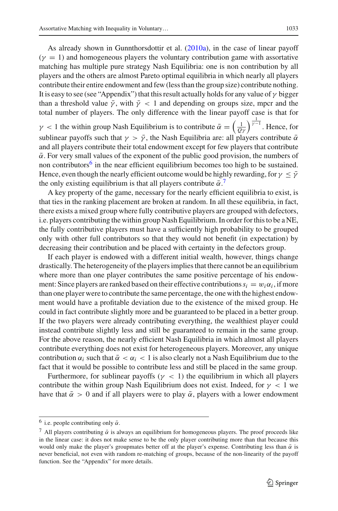As already shown in Gunnthorsdottir et al[.](#page-13-3) [\(2010a\)](#page-13-3), in the case of linear payoff  $(\gamma = 1)$  and homogeneous players the voluntary contribution game with assortative matching has multiple pure strategy Nash Equilibria: one is non contribution by all players and the others are almost Pareto optimal equilibria in which nearly all players contribute their entire endowment and few (less than the group size) contribute nothing. It is easy to see (see "Appendix") that this result actually holds for any value of  $\gamma$  bigger than a threshold value  $\bar{y}$ , with  $\bar{y}$  < 1 and depending on groups size, mpcr and the total number of players. The only difference with the linear payoff case is that for

 $\gamma$  < 1 the within group Nash Equilibrium is to contribute  $\bar{\alpha} = \left(\frac{1}{Q\gamma}\right)^{\frac{1}{\gamma-1}}$ . Hence, for sublinear payoffs such that  $\gamma > \bar{\gamma}$ , the Nash Equilibria are: all players contribute  $\bar{\alpha}$ and all players contribute their total endowment except for few players that contribute  $\bar{\alpha}$ . For very small values of the exponent of the public good provision, the numbers of non contributors<sup>[6](#page-4-0)</sup> in the near efficient equilibrium becomes too high to be sustained. Hence, even though the nearly efficient outcome would be highly rewarding, for  $\gamma < \bar{\gamma}$ the only existing equilibrium is that all players contribute  $\bar{\alpha}$ .

A key property of the game, necessary for the nearly efficient equilibria to exist, is that ties in the ranking placement are broken at random. In all these equilibria, in fact, there exists a mixed group where fully contributive players are grouped with defectors, i.e. players contributing the within group Nash Equilibrium. In order for this to be a NE, the fully contributive players must have a sufficiently high probability to be grouped only with other full contributors so that they would not benefit (in expectation) by decreasing their contribution and be placed with certainty in the defectors group.

If each player is endowed with a different initial wealth, however, things change drastically. The heterogeneity of the players implies that there cannot be an equilibrium where more than one player contributes the same positive percentage of his endowment: Since players are ranked based on their effective contributions  $s_i = w_i \alpha_i$ , if more than one player were to contribute the same percentage, the one with the highest endowment would have a profitable deviation due to the existence of the mixed group. He could in fact contribute slightly more and be guaranteed to be placed in a better group. If the two players were already contributing everything, the wealthiest player could instead contribute slightly less and still be guaranteed to remain in the same group. For the above reason, the nearly efficient Nash Equilibria in which almost all players contribute everything does not exist for heterogeneous players. Moreover, any unique contribution  $\alpha_i$  such that  $\bar{\alpha} < \alpha_i < 1$  is also clearly not a Nash Equilibrium due to the fact that it would be possible to contribute less and still be placed in the same group.

Furthermore, for sublinear payoffs ( $\gamma$  < 1) the equilibrium in which all players contribute the within group Nash Equilibrium does not exist. Indeed, for  $\gamma < 1$  we have that  $\bar{\alpha} > 0$  and if all players were to play  $\bar{\alpha}$ , players with a lower endowment

<sup>&</sup>lt;sup>6</sup> i.e. people contributing only  $\bar{\alpha}$ .

<span id="page-4-1"></span><span id="page-4-0"></span><sup>&</sup>lt;sup>7</sup> All players contributing  $\bar{\alpha}$  is always an equilibrium for homogeneous players. The proof proceeds like in the linear case: it does not make sense to be the only player contributing more than that because this would only make the player's groupmates better off at the player's expense. Contributing less than  $\bar{\alpha}$  is never beneficial, not even with random re-matching of groups, because of the non-linearity of the payoff function. See the "Appendix" for more details.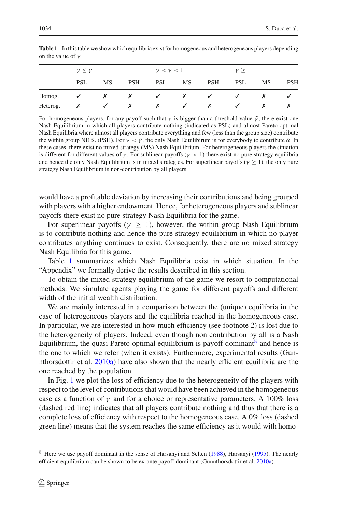|          | $\gamma \leq \bar{\gamma}$ |                           |            | $\bar{\gamma} < \gamma < 1$ |        |              | $\gamma \geq 1$ |           |            |
|----------|----------------------------|---------------------------|------------|-----------------------------|--------|--------------|-----------------|-----------|------------|
|          | <b>PSL</b>                 | <b>MS</b>                 | <b>PSH</b> | <b>PSL</b>                  | MS     | <b>PSH</b>   | <b>PSL</b>      | <b>MS</b> | <b>PSH</b> |
| Homog.   | $\checkmark$               | $\boldsymbol{\mathsf{x}}$ | X          | $\sqrt{2}$                  | $\chi$ | $\checkmark$ | $\sim$          |           |            |
| Heterog. |                            | ✓                         | X          | Х                           | ✓      | x            |                 |           |            |

<span id="page-5-0"></span>**Table 1** In this table we show which equilibria exist for homogeneous and heterogeneous players depending on the value of  $\gamma$ 

For homogeneous players, for any payoff such that  $\gamma$  is bigger than a threshold value  $\bar{\gamma}$ , there exist one Nash Equilibrium in which all players contribute nothing (indicated as PSL) and almost Pareto optimal Nash Equilibria where almost all players contribute everything and few (less than the group size) contribute the within group NE  $\bar{\alpha}$ . (PSH). For  $\gamma < \bar{\gamma}$ , the only Nash Equilibirum is for everybody to contribute  $\bar{\alpha}$ . In these cases, there exist no mixed strategy (MS) Nash Equilibrium. For heterogeneous players the situation is different for different values of  $\gamma$ . For sublinear payoffs ( $\gamma$  < 1) there exist no pure strategy equilibria and hence the only Nash Equilibrium is in mixed strategies. For superlinear payoffs ( $\gamma > 1$ ), the only pure strategy Nash Equilibrium is non-contribution by all players

would have a profitable deviation by increasing their contributions and being grouped with players with a higher endowment. Hence, for heterogeneous players and sublinear payoffs there exist no pure strategy Nash Equilibria for the game.

For superlinear payoffs ( $\gamma \geq 1$ ), however, the within group Nash Equilibrium is to contribute nothing and hence the pure strategy equilibrium in which no player contributes anything continues to exist. Consequently, there are no mixed strategy Nash Equilibria for this game.

Table [1](#page-5-0) summarizes which Nash Equilibria exist in which situation. In the "Appendix" we formally derive the results described in this section.

To obtain the mixed strategy equilibrium of the game we resort to computational methods. We simulate agents playing the game for different payoffs and different width of the initial wealth distribution.

We are mainly interested in a comparison between the (unique) equilibria in the case of heterogeneous players and the equilibria reached in the homogeneous case. In particular, we are interested in how much efficiency (see footnote 2) is lost due to the heterogeneity of players. Indeed, even though non contribution by all is a Nash Equilibrium, the quasi Pareto optimal equilibrium is payoff dominant  $\delta$  and hence is the one to which we refer (when it exists). Furthermore, experimental results (Gunnthorsdottir et al[.](#page-13-3) [2010a](#page-13-3)) have also shown that the nearly efficient equilibria are the one reached by the population.

In Fig. [1](#page-6-0) we plot the loss of efficiency due to the heterogeneity of the players with respect to the level of contributions that would have been achieved in the homogeneous case as a function of  $\gamma$  and for a choice or representative parameters. A 100% loss (dashed red line) indicates that all players contribute nothing and thus that there is a complete loss of efficiency with respect to the homogeneous case. A 0% loss (dashed green line) means that the system reaches the same efficiency as it would with homo-

<span id="page-5-1"></span><sup>8</sup> Here we use payoff dominant in the sense of Harsanyi and Selte[n](#page-14-10) [\(1988](#page-14-10)), Harsany[i](#page-14-11) [\(1995\)](#page-14-11). The nearly efficient equilibrium can be shown to be ex-ante payoff dominant (Gunnthorsdottir et al[.](#page-13-3) [2010a](#page-13-3)).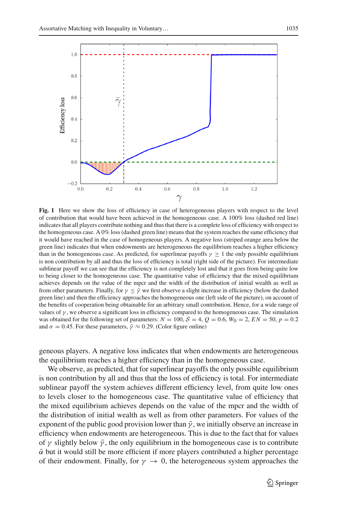

<span id="page-6-0"></span>**Fig. 1** Here we show the loss of efficiency in case of heterogeneous players with respect to the level of contribution that would have been achieved in the homogeneous case. A 100% loss (dashed red line) indicates that all players contribute nothing and thus that there is a complete loss of efficiency with respect to the homogeneous case. A 0% loss (dashed green line) means that the system reaches the same efficiency that it would have reached in the case of homogeneous players. A negative loss (striped orange area below the green line) indicates that when endowments are heterogeneous the equilibrium reaches a higher efficiency than in the homogeneous case. As predicted, for superlinear payoffs  $\gamma \geq 1$  the only possible equilibrium is non contribution by all and thus the loss of efficiency is total (right side of the picture). For intermediate sublinear payoff we can see that the efficiency is not completely lost and that it goes from being quite low to being closer to the homogeneous case. The quantitative value of efficiency that the mixed equilibrium achieves depends on the value of the mpcr and the width of the distribution of initial wealth as well as from other parameters. Finally, for  $\gamma \leq \bar{\gamma}$  we first observe a slight increase in efficiency (below the dashed green line) and then the efficiency approaches the homogeneous one (left side of the picture), on account of the benefits of cooperation being obtainable for an arbitrary small contribution. Hence, for a wide range of values of  $\gamma$ , we observe a significant loss in efficiency compared to the homogeneous case. The simulation was obtained for the following set of parameters:  $N = 100$ ,  $S = 4$ ,  $Q = 0.6$ ,  $W_0 = 2$ ,  $EN = 50$ ,  $p = 0.2$ and  $\sigma = 0.45$ . For these parameters,  $\bar{\gamma} \approx 0.29$ . (Color figure online)

geneous players. A negative loss indicates that when endowments are heterogeneous the equilibrium reaches a higher efficiency than in the homogeneous case.

We observe, as predicted, that for superlinear payoffs the only possible equilibrium is non contribution by all and thus that the loss of efficiency is total. For intermediate sublinear payoff the system achieves different efficiency level, from quite low ones to levels closer to the homogeneous case. The quantitative value of efficiency that the mixed equilibrium achieves depends on the value of the mpcr and the width of the distribution of initial wealth as well as from other parameters. For values of the exponent of the public good provision lower than  $\bar{y}$ , we initially observe an increase in efficiency when endowments are heterogeneous. This is due to the fact that for values of  $\gamma$  slightly below  $\bar{\gamma}$ , the only equilibrium in the homogeneous case is to contribute  $\bar{\alpha}$  but it would still be more efficient if more players contributed a higher percentage of their endowment. Finally, for  $\gamma \to 0$ , the heterogeneous system approaches the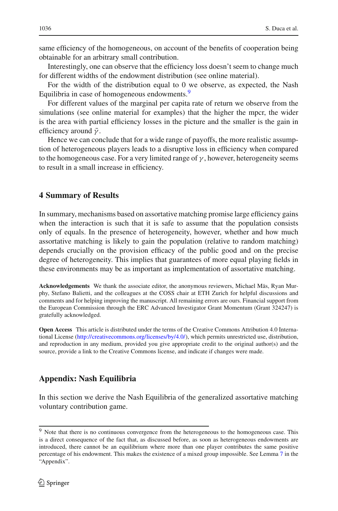same efficiency of the homogeneous, on account of the benefits of cooperation being obtainable for an arbitrary small contribution.

Interestingly, one can observe that the efficiency loss doesn't seem to change much for different widths of the endowment distribution (see online material).

For the width of the distribution equal to 0 we observe, as expected, the Nash Equilibria in case of homogeneous endowments.<sup>9</sup>

For different values of the marginal per capita rate of return we observe from the simulations (see online material for examples) that the higher the mpcr, the wider is the area with partial efficiency losses in the picture and the smaller is the gain in efficiency around  $\bar{\gamma}$ .

Hence we can conclude that for a wide range of payoffs, the more realistic assumption of heterogeneous players leads to a disruptive loss in efficiency when compared to the homogeneous case. For a very limited range of  $\gamma$ , however, heterogeneity seems to result in a small increase in efficiency.

### <span id="page-7-0"></span>**4 Summary of Results**

In summary, mechanisms based on assortative matching promise large efficiency gains when the interaction is such that it is safe to assume that the population consists only of equals. In the presence of heterogeneity, however, whether and how much assortative matching is likely to gain the population (relative to random matching) depends crucially on the provision efficacy of the public good and on the precise degree of heterogeneity. This implies that guarantees of more equal playing fields in these environments may be as important as implementation of assortative matching.

**Acknowledgements** We thank the associate editor, the anonymous reviewers, Michael Mäs, Ryan Murphy, Stefano Balietti, and the colleagues at the COSS chair at ETH Zurich for helpful discussions and comments and for helping improving the manuscript. All remaining errors are ours. Financial support from the European Commission through the ERC Advanced Investigator Grant Momentum (Grant 324247) is gratefully acknowledged.

**Open Access** This article is distributed under the terms of the Creative Commons Attribution 4.0 International License [\(http://creativecommons.org/licenses/by/4.0/\)](http://creativecommons.org/licenses/by/4.0/), which permits unrestricted use, distribution, and reproduction in any medium, provided you give appropriate credit to the original author(s) and the source, provide a link to the Creative Commons license, and indicate if changes were made.

## **Appendix: Nash Equilibria**

In this section we derive the Nash Equilibria of the generalized assortative matching voluntary contribution game.

<span id="page-7-1"></span><sup>&</sup>lt;sup>9</sup> Note that there is no continuous convergence from the heterogeneous to the homogeneous case. This is a direct consequence of the fact that, as discussed before, as soon as heterogeneous endowments are introduced, there cannot be an equilibrium where more than one player contributes the same positive percentage of his endowment. This makes the existence of a mixed group impossible. See Lemma [7](#page-12-0) in the "Appendix".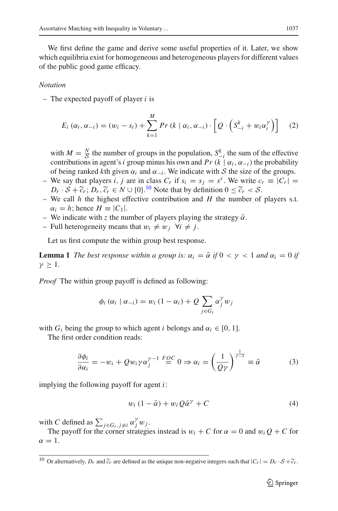We first define the game and derive some useful properties of it. Later, we show which equilibria exist for homogeneous and heterogeneous players for different values of the public good game efficacy.

#### *Notation*

– The expected payoff of player *i* is

$$
E_i(\alpha_i, \alpha_{-i}) = (w_i - s_i) + \sum_{k=1}^{M} Pr(k \mid \alpha_i, \alpha_{-i}) \cdot \left[ Q \cdot \left( S_{-i}^k + w_i \alpha_i^{\gamma} \right) \right] \quad (2)
$$

with  $M = \frac{N}{\mathcal{S}}$  the number of groups in the population,  $S_{-i}^k$  the sum of the effective contributions in group, group minus big own and  $R_n(k)$  of  $\mathcal{S}_n$ .) the probability contributions in agent's *i* group minus his own and *Pr* ( $k \mid \alpha_i, \alpha_{-i}$ ) the probability of being ranked *k*th given  $\alpha_i$  and  $\alpha_{-i}$ . We indicate with *S* the size of the groups.

- We say that players *i*, *j* are in class  $C_r$  if  $s_i = s_j = s^r$ . We write  $c_r \equiv |C_r|$  $D_r \cdot S + \tilde{c}_r$ ;  $D_r, \tilde{c}_r \in N \cup \{0\}$ .<sup>[10](#page-8-0)</sup> Note that by definition  $0 \leq \tilde{c}_r < S$ .<br>We call *h* the highest effective contribution and *H* the number of
- We call *h* the highest effective contribution and *H* the number of players s.t.  $\alpha_i = h$ ; hence  $H \equiv |C_1|$ .
- We indicate with *z* the number of players playing the strategy  $\bar{\alpha}$ .
- $-$  Full heterogeneity means that  $w_i \neq w_j$   $\forall i \neq j$ .

Let us first compute the within group best response.

**Lemma 1** *The best response within a group is:*  $\alpha_i = \overline{\alpha}$  *if*  $0 < \gamma < 1$  *and*  $\alpha_i = 0$  *if*  $\gamma > 1$ .

*Proof* The within group payoff is defined as following:

<span id="page-8-1"></span>
$$
\phi_i(\alpha_i \mid \alpha_{-i}) = w_i (1 - \alpha_i) + Q \sum_{j \in G_i} \alpha_j^{\gamma} w_j
$$

with  $G_i$  being the group to which agent *i* belongs and  $\alpha_i \in [0, 1]$ .

The first order condition reads:

$$
\frac{\partial \phi_i}{\partial \alpha_i} = -w_i + Qw_i \gamma \alpha_j^{\gamma - 1} \stackrel{FQC}{=} 0 \Rightarrow \alpha_i = \left(\frac{1}{Q\gamma}\right)^{\frac{1}{\gamma - 1}} \equiv \bar{\alpha}
$$
 (3)

implying the following payoff for agent *i*:

$$
w_i (1 - \bar{\alpha}) + w_i Q \bar{\alpha}^{\gamma} + C \tag{4}
$$

with *C* defined as  $\sum_{j \in G_i, j \neq i} \alpha_j^{\gamma} w_j$ .

The payoff for the corner strategies instead is  $w_i + C$  for  $\alpha = 0$  and  $w_i Q + C$  for  $\alpha = 1$ .

<span id="page-8-0"></span><sup>&</sup>lt;sup>10</sup> Or alternatively,  $D_r$  and  $\tilde{c}_r$  are defined as the unique non-negative integers such that  $|C_r| = D_r \cdot S + \tilde{c}_r$ .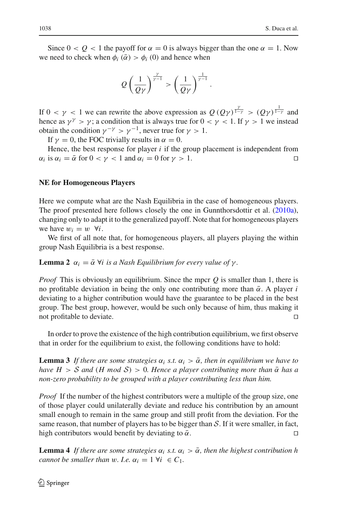Since  $0 < Q < 1$  the payoff for  $\alpha = 0$  is always bigger than the one  $\alpha = 1$ . Now we need to check when  $\phi_i$  ( $\bar{\alpha}$ ) >  $\phi_i$  (0) and hence when

$$
Q\left(\frac{1}{Q\gamma}\right)^{\frac{\gamma}{\gamma-1}} > \left(\frac{1}{Q\gamma}\right)^{\frac{1}{\gamma-1}}.
$$

If  $0 < \gamma < 1$  we can rewrite the above expression as  $Q(Q\gamma)^{\frac{\gamma}{1-\gamma}} > (Q\gamma)^{\frac{1}{1-\gamma}}$  and hence as  $\gamma^{\gamma} > \gamma$ ; a condition that is always true for  $0 < \gamma < 1$ . If  $\gamma > 1$  we instead obtain the condition  $\nu^{-\gamma} > \nu^{-1}$ , never true for  $\nu > 1$ .

If  $\nu = 0$ , the FOC trivially results in  $\alpha = 0$ .

Hence, the best response for player *i* if the group placement is independent from  $\alpha_i$  is  $\alpha_i = \overline{\alpha}$  for  $0 < \gamma < 1$  and  $\alpha_i = 0$  for  $\gamma > 1$ .

#### **NE for Homogeneous Players**

Here we compute what are the Nash Equilibria in the case of homogeneous players. The proof presented here follows closely the one in Gunnthorsdottir et al[.](#page-13-3) [\(2010a](#page-13-3)), changing only to adapt it to the generalized payoff. Note that for homogeneous players we have  $w_i = w$   $\forall i$ .

We first of all note that, for homogeneous players, all players playing the within group Nash Equilibria is a best response.

**Lemma 2**  $\alpha_i = \overline{\alpha}$   $\forall i$  *is a Nash Equilibrium for every value of*  $\gamma$ *.* 

*Proof* This is obviously an equilibrium. Since the mpcr *Q* is smaller than 1, there is no profitable deviation in being the only one contributing more than  $\bar{\alpha}$ . A player *i* deviating to a higher contribution would have the guarantee to be placed in the best group. The best group, however, would be such only because of him, thus making it not profitable to deviate.

<span id="page-9-0"></span>In order to prove the existence of the high contribution equilibrium, we first observe that in order for the equilibrium to exist, the following conditions have to hold:

**Lemma 3** If there are some strategies  $\alpha_i$  s.t.  $\alpha_i > \overline{\alpha}$ , then in equilibrium we have to *have*  $H > S$  *and* (*H mod*  $S$ ) > 0*. Hence a player contributing more than*  $\bar{\alpha}$  *has a non-zero probability to be grouped with a player contributing less than him.*

*Proof* If the number of the highest contributors were a multiple of the group size, one of those player could unilaterally deviate and reduce his contribution by an amount small enough to remain in the same group and still profit from the deviation. For the same reason, that number of players has to be bigger than *S*. If it were smaller, in fact, high contributors would benefit by deviating to  $\bar{\alpha}$ . high contributors would benefit by deviating to  $\bar{\alpha}$ .

<span id="page-9-1"></span>**Lemma 4** *If there are some strategies*  $\alpha_i$  *s.t.*  $\alpha_i > \overline{\alpha}$ *, then the highest contribution h cannot be smaller than* w. *I.e.*  $\alpha_i = 1 \ \forall i \in C_1$ .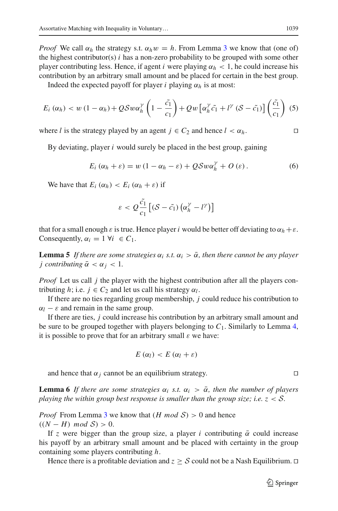*Proof* We call  $\alpha_h$  the strategy s.t.  $\alpha_h w = h$ . From Lemma [3](#page-9-0) we know that (one of) the highest contributor(s) *i* has a non-zero probability to be grouped with some other player contributing less. Hence, if agent *i* were playing  $\alpha_h < 1$ , he could increase his contribution by an arbitrary small amount and be placed for certain in the best group.

Indeed the expected payoff for player *i* playing  $\alpha_h$  is at most:

$$
E_i(\alpha_h) < w\left(1 - \alpha_h\right) + Q\mathcal{S}w\alpha_h^{\gamma}\left(1 - \frac{\tilde{c_1}}{c_1}\right) + Qw\left[\alpha_h^{\gamma}\tilde{c_1} + l^{\gamma}\left(\mathcal{S} - \tilde{c_1}\right)\right]\left(\frac{\tilde{c_1}}{c_1}\right) \tag{5}
$$

where *l* is the strategy played by an agent  $j \in C_2$  and hence  $l < \alpha_h$ .

By deviating, player *i* would surely be placed in the best group, gaining

$$
E_i(\alpha_h + \varepsilon) = w(1 - \alpha_h - \varepsilon) + Q\mathcal{S}w\alpha_h^{\gamma} + O(\varepsilon).
$$
 (6)

We have that  $E_i(\alpha_h) < E_i(\alpha_h + \varepsilon)$  if

$$
\varepsilon < Q \frac{\tilde{c_1}}{c_1} \left[ \left( \mathcal{S} - \tilde{c_1} \right) \left( \alpha_h^{\gamma} - l^{\gamma} \right) \right]
$$

<span id="page-10-1"></span>that for a small enough  $\varepsilon$  is true. Hence player *i* would be better off deviating to  $\alpha_h + \varepsilon$ . Consequently,  $\alpha_i = 1 \ \forall i \in C_1$ .

**Lemma 5** If there are some strategies  $\alpha_i$  *s.t.*  $\alpha_i > \overline{\alpha}$ , then there cannot be any player *j* contributing  $\bar{\alpha} < \alpha_i < 1$ .

*Proof* Let us call *j* the player with the highest contribution after all the players contributing *h*; i.e.  $j \in C_2$  and let us call his strategy  $\alpha_l$ .

If there are no ties regarding group membership, *j* could reduce his contribution to  $\alpha_l$  −  $\varepsilon$  and remain in the same group.

If there are ties, *j* could increase his contribution by an arbitrary small amount and be sure to be grouped together with players belonging to  $C_1$ . Similarly to Lemma [4,](#page-9-1) it is possible to prove that for an arbitrary small  $\varepsilon$  we have:

$$
E(\alpha_l) < E(\alpha_l + \varepsilon)
$$

and hence that  $\alpha_i$  cannot be an equilibrium strategy.

<span id="page-10-0"></span>**Lemma 6** *If there are some strategies*  $\alpha_i$  *s.t.*  $\alpha_i > \overline{\alpha}$ *, then the number of players playing the within group best response is smaller than the group size; i.e. z* < *S.*

*Proof* From Lemma [3](#page-9-0) we know that  $(H \text{ mod } S) > 0$  and hence  $((N - H) \mod S) > 0.$ 

If *z* were bigger than the group size, a player *i* contributing  $\bar{\alpha}$  could increase his payoff by an arbitrary small amount and be placed with certainty in the group containing some players contributing *h*.

Hence there is a profitable deviation and  $z \geq S$  could not be a Nash Equilibrium.  $\Box$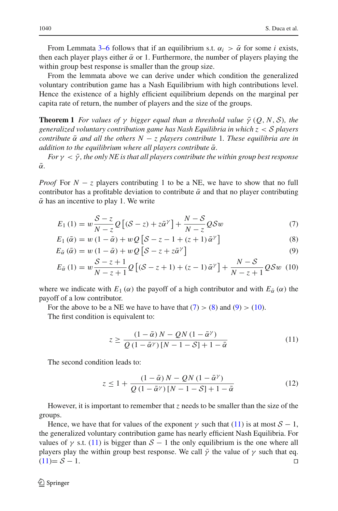From Lemmata [3–](#page-9-0)[6](#page-10-0) follows that if an equilibrium s.t.  $\alpha_i > \overline{\alpha}$  for some *i* exists, then each player plays either  $\bar{\alpha}$  or 1. Furthermore, the number of players playing the within group best response is smaller than the group size.

From the lemmata above we can derive under which condition the generalized voluntary contribution game has a Nash Equilibrium with high contributions level. Hence the existence of a highly efficient equilibrium depends on the marginal per capita rate of return, the number of players and the size of the groups.

**Theorem 1** *For values of*  $\gamma$  *bigger equal than a threshold value*  $\bar{\gamma}$  (*O*, *N*, *S*)*, the generalized voluntary contribution game has Nash Equilibria in which z* < *S players contribute*  $\bar{\alpha}$  *and all the others*  $N - z$  *players contribute* 1*. These equilibria are in addition to the equilibrium where all players contribute*  $\bar{\alpha}$ *.* 

*For*  $\gamma < \bar{\gamma}$ , the only *NE* is that all players contribute the within group best response  $\bar{\alpha}$ .

*Proof* For  $N - z$  players contributing 1 to be a NE, we have to show that no full contributor has a profitable deviation to contribute  $\bar{\alpha}$  and that no player contributing  $\bar{\alpha}$  has an incentive to play 1. We write

<span id="page-11-0"></span>
$$
E_1(1) = w \frac{S - z}{N - z} Q \left[ (S - z) + z \bar{\alpha}^{\gamma} \right] + \frac{N - S}{N - z} Q S w \tag{7}
$$

$$
E_1(\bar{\alpha}) = w(1 - \bar{\alpha}) + wQ\left[\mathcal{S} - z - 1 + (z + 1)\bar{\alpha}^{\gamma}\right]
$$
\n(8)

$$
E_{\bar{\alpha}}\left(\bar{\alpha}\right) = w\left(1 - \bar{\alpha}\right) + wQ\left[\mathcal{S} - z + z\bar{\alpha}^{\gamma}\right] \tag{9}
$$

$$
E_{\tilde{\alpha}}\left(1\right) = w \frac{S-z+1}{N-z+1} Q\left[\left(S-z+1\right) + \left(z-1\right) \bar{\alpha}^{\gamma}\right] + \frac{N-S}{N-z+1} QSw\ (10)
$$

where we indicate with  $E_1(\alpha)$  the payoff of a high contributor and with  $E_{\alpha}(\alpha)$  the payoff of a low contributor.

For the above to be a NE we have to have that  $(7) > (8)$  $(7) > (8)$  $(7) > (8)$  and  $(9) > (10)$  $(9) > (10)$  $(9) > (10)$ .

The first condition is equivalent to:

<span id="page-11-1"></span>
$$
z \ge \frac{\left(1-\bar{\alpha}\right)N - QN\left(1-\bar{\alpha}^{\gamma}\right)}{Q\left(1-\bar{\alpha}^{\gamma}\right)\left[N-1-S\right]+1-\bar{\alpha}}\tag{11}
$$

The second condition leads to:

$$
z \le 1 + \frac{(1 - \bar{\alpha})N - QN(1 - \bar{\alpha}^{\gamma})}{Q(1 - \bar{\alpha}^{\gamma})[N - 1 - S] + 1 - \bar{\alpha}}
$$
\n(12)

However, it is important to remember that *z* needs to be smaller than the size of the groups.

Hence, we have that for values of the exponent  $\gamma$  such that [\(11\)](#page-11-1) is at most  $S - 1$ , the generalized voluntary contribution game has nearly efficient Nash Equilibria. For values of  $\gamma$  s.t. [\(11\)](#page-11-1) is bigger than  $S - 1$  the only equilibrium is the one where all players play the within group best response. We call  $\bar{\gamma}$  the value of  $\gamma$  such that eq. (11)=  $S - 1$ .  $(11)=$  $(11)=$   $S-1$ .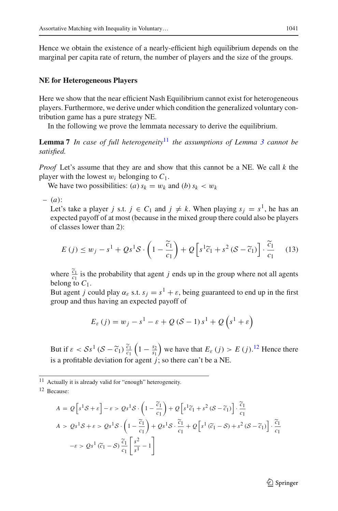Hence we obtain the existence of a nearly-efficient high equilibrium depends on the marginal per capita rate of return, the number of players and the size of the groups.

#### **NE for Heterogeneous Players**

Here we show that the near efficient Nash Equilibrium cannot exist for heterogeneous players. Furthermore, we derive under which condition the generalized voluntary contribution game has a pure strategy NE.

<span id="page-12-0"></span>In the following we prove the lemmata necessary to derive the equilibrium.

**Lemma 7** *In case of full heterogeneity*[11](#page-12-1) *the assumptions of Lemma [3](#page-9-0) cannot be satisfied.*

*Proof* Let's assume that they are and show that this cannot be a NE. We call *k* the player with the lowest  $w_i$  belonging to  $C_1$ .

We have two possibilities: (*a*)  $s_k = w_k$  and (*b*)  $s_k < w_k$ 

– (*a*):

Let's take a player *j* s.t.  $j \in C_1$  and  $j \neq k$ . When playing  $s_j = s^1$ , he has an expected payoff of at most (because in the mixed group there could also be players of classes lower than 2):

$$
E(j) \le w_j - s^1 + Qs^1 \mathcal{S} \cdot \left(1 - \frac{\widetilde{c}_1}{c_1}\right) + Q\left[s^1 \widetilde{c}_1 + s^2 \left(\mathcal{S} - \widetilde{c}_1\right)\right] \cdot \frac{\widetilde{c}_1}{c_1} \tag{13}
$$

where  $\frac{\tilde{c}_1}{c_1}$  is the probability that agent *j* ends up in the group where not all agents belong to  $C_1$ .

But agent *j* could play  $\alpha_{\varepsilon}$  s.t.  $s_j = s^1 + \varepsilon$ , being guaranteed to end up in the first group and thus having an expected payoff of

$$
E_{\varepsilon}(j) = w_j - s^1 - \varepsilon + Q(\mathcal{S} - 1) s^1 + Q(s^1 + \varepsilon)
$$

But if  $\varepsilon < S_s^{-1}$   $(S - \tilde{c}_1)$   $\frac{\tilde{c}_1}{c_1}$   $\left(1 - \frac{s_2}{s_1}\right)$  we have that  $E_{\varepsilon}(j) > E(j)$ .<sup>[12](#page-12-2)</sup> Hence there is a profitable deviation for agent *j*; so there can't be a NE.

<sup>11</sup> Actually it is already valid for "enough" heterogeneity.

<span id="page-12-2"></span><span id="page-12-1"></span><sup>12</sup> Because:

$$
A = Q\left[s^1\mathcal{S} + \varepsilon\right] - \varepsilon > Qs^1\mathcal{S} \cdot \left(1 - \frac{\tilde{c}_1}{c_1}\right) + Q\left[s^1\tilde{c}_1 + s^2\left(\mathcal{S} - \tilde{c}_1\right)\right] \cdot \frac{\tilde{c}_1}{c_1}
$$
\n
$$
A > Qs^1\mathcal{S} + \varepsilon > Qs^1\mathcal{S} \cdot \left(1 - \frac{\tilde{c}_1}{c_1}\right) + Qs^1\mathcal{S} \cdot \frac{\tilde{c}_1}{c_1} + Q\left[s^1\left(\tilde{c}_1 - \mathcal{S}\right) + s^2\left(\mathcal{S} - \tilde{c}_1\right)\right] \cdot \frac{\tilde{c}_1}{c_1}
$$
\n
$$
-\varepsilon > Qs^1\left(\tilde{c}_1 - \mathcal{S}\right) \frac{\tilde{c}_1}{c_1} \left[\frac{s^2}{s^1} - 1\right]
$$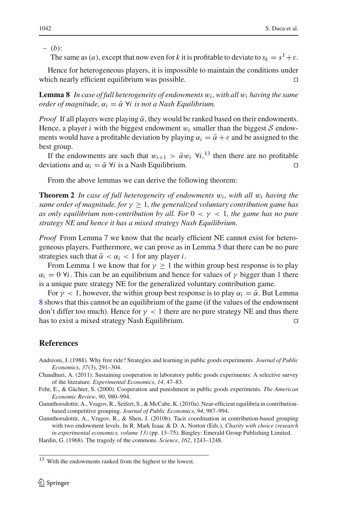– (*b*):

The same as (*a*), except that now even for *k* it is profitable to deviate to  $s_k = s^1 + \varepsilon$ .

Hence for heterogeneous players, it is impossible to maintain the conditions under which nearly efficient equilibrium was possible.  $\Box$ 

<span id="page-13-7"></span>**Lemma 8** *In case of full heterogeneity of endowments* w*<sup>i</sup> , with all* w*<sup>i</sup> having the same order of magnitude,*  $\alpha_i = \overline{\alpha}$   $\forall i$  *is not a Nash Equilibrium.* 

*Proof* If all players were playing  $\bar{\alpha}$ , they would be ranked based on their endowments. Hence, a player *i* with the biggest endowment  $w_i$  smaller than the biggest  $S$  endowments would have a profitable deviation by playing  $\alpha_i = \overline{\alpha} + \varepsilon$  and be assigned to the best group.

If the endowments are such that  $w_{i+1} > \bar{\alpha} w_i$   $\forall i, \frac{13}{1}$  $\forall i, \frac{13}{1}$  $\forall i, \frac{13}{1}$  then there are no profitable deviations and  $\alpha_i = \overline{\alpha} \ \forall i$  is a Nash Equilibrium.

From the above lemmas we can derive the following theorem:

**Theorem 2** *In case of full heterogeneity of endowments* w*<sup>i</sup> , with all* w*<sup>i</sup> having the same order of magnitude, for*  $\gamma \geq 1$ *, the generalized voluntary contribution game has as only equilibrium non-contribution by all. For*  $0 < \gamma < 1$ *, the game has no pure strategy NE and hence it has a mixed strategy Nash Equilibrium.*

*Proof* From Lemma [7](#page-12-0) we know that the nearly efficient NE cannot exist for heterogeneous players. Furthermore, we can prove as in Lemma [5](#page-10-1) that there can be no pure strategies such that  $\bar{\alpha} < \alpha_i < 1$  for any player *i*.

From Lemma [1](#page-8-1) we know that for  $\gamma \geq 1$  the within group best response is to play  $\alpha_i = 0$   $\forall i$ . This can be an equilibrium and hence for values of  $\gamma$  bigger than 1 there is a unique pure strategy NE for the generalized voluntary contribution game.

For  $\gamma$  < 1, however, the within group best response is to play  $\alpha_i = \overline{\alpha}$ . But Lemma [8](#page-13-7) shows that this cannot be an equilibrium of the game (if the values of the endowment don't differ too much). Hence for  $\gamma$  < 1 there are no pure strategy NE and thus there has to exist a mixed strategy Nash Equilibrium.

# **References**

- <span id="page-13-1"></span>Andreoni, J. (1988). Why free ride? Strategies and learning in public goods experiments. *Journal of Public Economics*, *37*(3), 291–304.
- <span id="page-13-2"></span>Chaudhuri, A. (2011). Sustaining cooperation in laboratory public goods experiments: A selective survey of the literature. *Experimental Economics*, *14*, 47–83.
- <span id="page-13-5"></span>Fehr, E., & Gächter, S. (2000). Cooperation and punishment in public goods experiments. *The American Economic Review*, *90*, 980–994.
- <span id="page-13-3"></span>Gunnthorsdottir, A., Vragov, R., Seifert, S., & McCabe, K. (2010a). Near-efficient equilibria in contributionbased competitive grouping. *Journal of Public Economics*, *94*, 987–994.
- <span id="page-13-4"></span>Gunnthorsdottir, A., Vragov, R., & Shen, J. (2010b). Tacit coordination in contribution-based grouping with two endowment levels. In R. Mark Isaac & D. A. Norton (Eds.), *Charity with choice (research in experimental economics, volume 13)* (pp. 13–75). Bingley: Emerald Group Publishing Limited.

<span id="page-13-0"></span>Hardin, G. (1968). The tragedy of the commons. *Science*, *162*, 1243–1248.

<span id="page-13-6"></span><sup>13</sup> With the endowments ranked from the highest to the lowest.